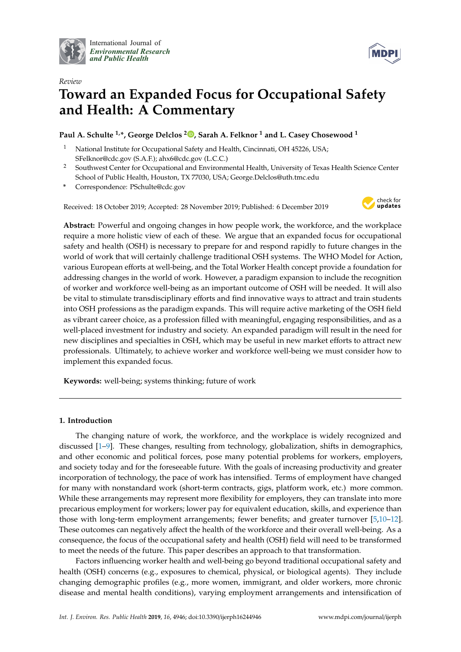

International Journal of *[Environmental Research](http://www.mdpi.com/journal/ijerph) and Public Health*



# *Review* **Toward an Expanded Focus for Occupational Safety and Health: A Commentary**

# **Paul A. Schulte 1,\*, George Delclos <sup>2</sup> [,](https://orcid.org/0000-0003-0201-8135) Sarah A. Felknor <sup>1</sup> and L. Casey Chosewood <sup>1</sup>**

- National Institute for Occupational Safety and Health, Cincinnati, OH 45226, USA; SFelknor@cdc.gov (S.A.F.); ahx6@cdc.gov (L.C.C.)
- <sup>2</sup> Southwest Center for Occupational and Environmental Health, University of Texas Health Science Center School of Public Health, Houston, TX 77030, USA; George.Delclos@uth.tmc.edu
- **\*** Correspondence: PSchulte@cdc.gov

Received: 18 October 2019; Accepted: 28 November 2019; Published: 6 December 2019



**Abstract:** Powerful and ongoing changes in how people work, the workforce, and the workplace require a more holistic view of each of these. We argue that an expanded focus for occupational safety and health (OSH) is necessary to prepare for and respond rapidly to future changes in the world of work that will certainly challenge traditional OSH systems. The WHO Model for Action, various European efforts at well-being, and the Total Worker Health concept provide a foundation for addressing changes in the world of work. However, a paradigm expansion to include the recognition of worker and workforce well-being as an important outcome of OSH will be needed. It will also be vital to stimulate transdisciplinary efforts and find innovative ways to attract and train students into OSH professions as the paradigm expands. This will require active marketing of the OSH field as vibrant career choice, as a profession filled with meaningful, engaging responsibilities, and as a well-placed investment for industry and society. An expanded paradigm will result in the need for new disciplines and specialties in OSH, which may be useful in new market efforts to attract new professionals. Ultimately, to achieve worker and workforce well-being we must consider how to implement this expanded focus.

**Keywords:** well-being; systems thinking; future of work

# **1. Introduction**

The changing nature of work, the workforce, and the workplace is widely recognized and discussed [\[1](#page-11-0)[–9\]](#page-11-1). These changes, resulting from technology, globalization, shifts in demographics, and other economic and political forces, pose many potential problems for workers, employers, and society today and for the foreseeable future. With the goals of increasing productivity and greater incorporation of technology, the pace of work has intensified. Terms of employment have changed for many with nonstandard work (short-term contracts, gigs, platform work, etc.) more common. While these arrangements may represent more flexibility for employers, they can translate into more precarious employment for workers; lower pay for equivalent education, skills, and experience than those with long-term employment arrangements; fewer benefits; and greater turnover [\[5,](#page-11-2)[10–](#page-11-3)[12\]](#page-11-4). These outcomes can negatively affect the health of the workforce and their overall well-being. As a consequence, the focus of the occupational safety and health (OSH) field will need to be transformed to meet the needs of the future. This paper describes an approach to that transformation.

Factors influencing worker health and well-being go beyond traditional occupational safety and health (OSH) concerns (e.g., exposures to chemical, physical, or biological agents). They include changing demographic profiles (e.g., more women, immigrant, and older workers, more chronic disease and mental health conditions), varying employment arrangements and intensification of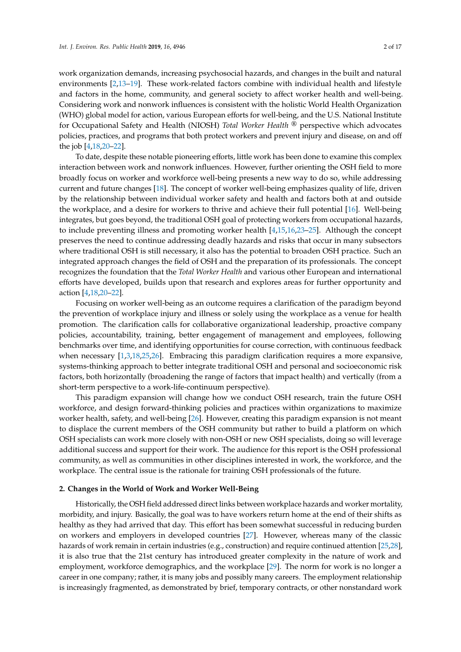work organization demands, increasing psychosocial hazards, and changes in the built and natural environments [\[2](#page-11-5)[,13](#page-12-0)[–19\]](#page-12-1). These work-related factors combine with individual health and lifestyle and factors in the home, community, and general society to affect worker health and well-being. Considering work and nonwork influences is consistent with the holistic World Health Organization (WHO) global model for action, various European efforts for well-being, and the U.S. National Institute for Occupational Safety and Health (NIOSH) *Total Worker Health* ® perspective which advocates policies, practices, and programs that both protect workers and prevent injury and disease, on and off the job [\[4](#page-11-6)[,18](#page-12-2)[,20–](#page-12-3)[22\]](#page-12-4).

To date, despite these notable pioneering efforts, little work has been done to examine this complex interaction between work and nonwork influences. However, further orienting the OSH field to more broadly focus on worker and workforce well-being presents a new way to do so, while addressing current and future changes [\[18\]](#page-12-2). The concept of worker well-being emphasizes quality of life, driven by the relationship between individual worker safety and health and factors both at and outside the workplace, and a desire for workers to thrive and achieve their full potential [\[16\]](#page-12-5). Well-being integrates, but goes beyond, the traditional OSH goal of protecting workers from occupational hazards, to include preventing illness and promoting worker health [\[4,](#page-11-6)[15,](#page-12-6)[16,](#page-12-5)[23–](#page-12-7)[25\]](#page-12-8). Although the concept preserves the need to continue addressing deadly hazards and risks that occur in many subsectors where traditional OSH is still necessary, it also has the potential to broaden OSH practice. Such an integrated approach changes the field of OSH and the preparation of its professionals. The concept recognizes the foundation that the *Total Worker Health* and various other European and international efforts have developed, builds upon that research and explores areas for further opportunity and action [\[4,](#page-11-6)[18,](#page-12-2)[20](#page-12-3)[–22\]](#page-12-4).

Focusing on worker well-being as an outcome requires a clarification of the paradigm beyond the prevention of workplace injury and illness or solely using the workplace as a venue for health promotion. The clarification calls for collaborative organizational leadership, proactive company policies, accountability, training, better engagement of management and employees, following benchmarks over time, and identifying opportunities for course correction, with continuous feedback when necessary [\[1,](#page-11-0)[3,](#page-11-7)[18,](#page-12-2)[25,](#page-12-8)[26\]](#page-12-9). Embracing this paradigm clarification requires a more expansive, systems-thinking approach to better integrate traditional OSH and personal and socioeconomic risk factors, both horizontally (broadening the range of factors that impact health) and vertically (from a short-term perspective to a work-life-continuum perspective).

This paradigm expansion will change how we conduct OSH research, train the future OSH workforce, and design forward-thinking policies and practices within organizations to maximize worker health, safety, and well-being [\[26\]](#page-12-9). However, creating this paradigm expansion is not meant to displace the current members of the OSH community but rather to build a platform on which OSH specialists can work more closely with non-OSH or new OSH specialists, doing so will leverage additional success and support for their work. The audience for this report is the OSH professional community, as well as communities in other disciplines interested in work, the workforce, and the workplace. The central issue is the rationale for training OSH professionals of the future.

# **2. Changes in the World of Work and Worker Well-Being**

Historically, the OSH field addressed direct links between workplace hazards and worker mortality, morbidity, and injury. Basically, the goal was to have workers return home at the end of their shifts as healthy as they had arrived that day. This effort has been somewhat successful in reducing burden on workers and employers in developed countries [\[27\]](#page-12-10). However, whereas many of the classic hazards of work remain in certain industries (e.g., construction) and require continued attention [\[25](#page-12-8)[,28\]](#page-12-11), it is also true that the 21st century has introduced greater complexity in the nature of work and employment, workforce demographics, and the workplace [\[29\]](#page-12-12). The norm for work is no longer a career in one company; rather, it is many jobs and possibly many careers. The employment relationship is increasingly fragmented, as demonstrated by brief, temporary contracts, or other nonstandard work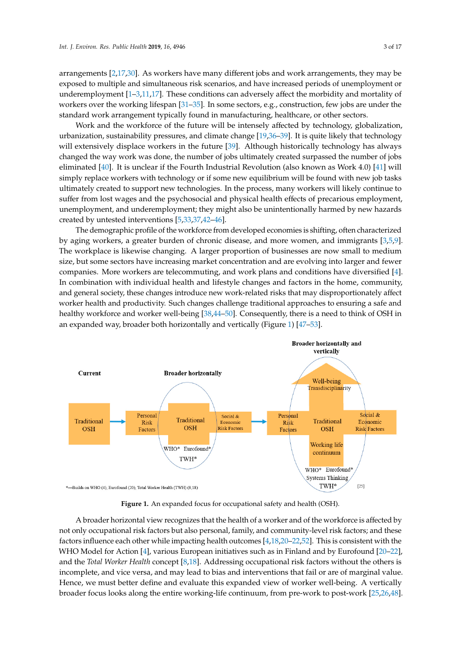arrangements [\[2](#page-11-5)[,17](#page-12-13)[,30\]](#page-12-14). As workers have many different jobs and work arrangements, they may be exposed to multiple and simultaneous risk scenarios, and have increased periods of unemployment or underemployment  $[1-3,11,17]$  $[1-3,11,17]$  $[1-3,11,17]$  $[1-3,11,17]$ . These conditions can adversely affect the morbidity and mortality of workers over the working lifespan [\[31–](#page-12-15)[35\]](#page-13-0). In some sectors, e.g., construction, few jobs are under the standard work arrangement typically found in manufacturing, healthcare, or other sectors.

Work and the workforce of the future will be intensely affected by technology, globalization, Work and the workforce of the future will be intensely affected by technology, globalization, urbanization, sustainability pressures, and climate change [\[19,](#page-12-1)[36](#page-13-1)[–39\]](#page-13-2). It is quite likely that technology urbanization, sustainability pressures, and climate change [19,36–39]. It is quite likely that technology will extensively displace workers in the future [\[39\]](#page-13-2). Although historically technology has always will extensively displace workers in the future [39]. Although historically technology has always changed changed the way work was done, the number of jobs ultimately created surpassed the number of jobs the way work was done, the number of jobs ultimately created surpassed the number of jobs eliminated eliminated  $[40]$ . It is un[clea](#page-13-3)r if the Fourth Industrial Revolution (also known as Work 4.0)  $[41]$  will simply replace workers with technology or if some new equilibrium will be found with new job tasks ultimately created to support new technologies. In the process, many workers will likely continue to suffer from lost wages and the psychosocial and physical health effects of precarious employment, unemployment, and underemployment; they might also be unintentionally harmed by new hazards created by untested interventions [\[5](#page-11-2)[,33](#page-12-16)[,37](#page-13-5),42-[46\]](#page-13-7).

The demographic profile of the workforce from developed economies is shifting, often characterized The demographic profile of the workforce from developed economies is shifting, often characterized by aging workers, a greater burden of chronic disease, and more women, and immigrants [\[3,](#page-11-7)[5,](#page-11-2)[9\]](#page-11-1). The workplace is likewise changing. A larger proportion of businesses are now small to medium size, but some sectors have increasing market concentration and are evolving into larger and fewer companies. More workers are telecommuting, and work plans and conditions have diversified [\[4\]](#page-11-6). In combination with individual health and lifestyle changes and factors in the home, community, and general society, these changes introduce new work-related risks that may disproportionately affect worker health and productivity. Such changes challenge traditional approaches to ensuring a safe and healthy workforce and worker well-being  $\begin{bmatrix} 0 & 0 \\ 0 & -1 \end{bmatrix}$ . Consequently, there is a need to think of OSH in an expanded way, broader both horizontally and vertically (Figure [1\)](#page-2-0) [\[47–](#page-13-11)[53\]](#page-13-12).

<span id="page-2-0"></span>

**Figure 1.** An expanded focus for occupational safety and health (OSH). **Figure 1.** An expanded focus for occupational safety and health (OSH).

A broader horizontal view recognizes that the health of a worker and of the workforce is affected by A broader horizontal view recognizes that the health of a worker and of the workforce is affected by not only occupational risk factors but also personal, family, and community-level risk factors; and these not only occupational risk factors but also personal, family, and community-level risk factors; and these factors influence each other while impacting health outcomes [4,18,20–22,52]. This is consistent with the factors influence each other while impacting health outcomes [\[4,](#page-11-6)[18,](#page-12-2)[20](#page-12-3)[–22](#page-12-4)[,52\]](#page-13-13). This is consistent with the WHO Model for Action [4], various European initiatives such as in Finland and by Eurofound [20–22], WHO Model for Action [\[4\]](#page-11-6), various European initiatives such as in Finland and by Eurofound [\[20](#page-12-3)[–22\]](#page-12-4), and the *Total Worker Health* concept [\[8,](#page-11-9)[18\]](#page-12-2). Addressing occupational risk factors without the others is incomplete, and vice versa, and may lead to bias and interventions that fail or are of marginal value. Hence, we must better define and evaluate this expanded view of worker well-being. A vertically broader focus looks along the entire working-life continuum, from pre-work to post-work [\[25,](#page-12-8)[26,](#page-12-9)[48\]](#page-13-14).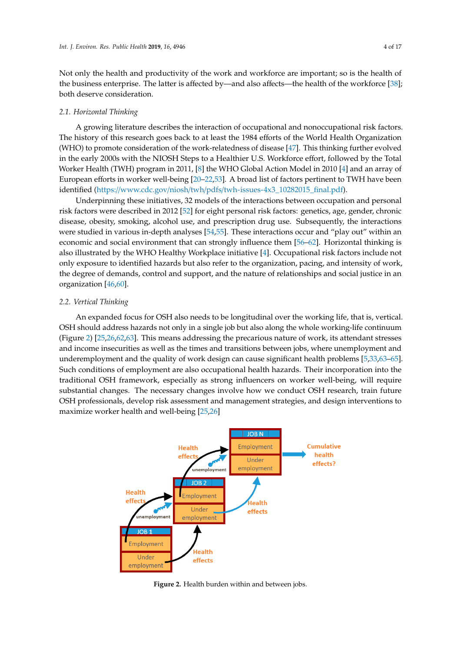Not only the health and productivity of the work and workforce are important; so is the health of the business enterprise. The latter is affected by—and also affects—the health of the workforce [\[38\]](#page-13-8); both deserve consideration.

# *2.1. Horizontal Thinking*

A growing literature describes the interaction of occupational and nonoccupational risk factors. The history of this research goes back to at least the 1984 efforts of the World Health Organization (WHO) to promote consideration of the work-relatedness of disease [\[47\]](#page-13-11). This thinking further evolved in the early 2000s with the NIOSH Steps to a Healthier U.S. Workforce effort, followed by the Total Worker Health (TWH) program in 2011, [\[8\]](#page-11-9) the WHO Global Action Model in 2010 [\[4\]](#page-11-6) and an array of European efforts in worker well-being [\[20–](#page-12-3)[22,](#page-12-4)[53\]](#page-13-12). A broad list of factors pertinent to TWH have been identified (https://www.cdc.gov/niosh/twh/pdfs/[twh-issues-4x3\\_10282015\\_final.pdf\)](https://www.cdc.gov/niosh/twh/pdfs/twh-issues-4x3_10282015_final.pdf).

Underpinning these initiatives, 32 models of the interactions between occupation and personal risk factors were described in 2012 [\[52\]](#page-13-13) for eight personal risk factors: genetics, age, gender, chronic disease, obesity, smoking, alcohol use, and prescription drug use. Subsequently, the interactions were studied in various in-depth analyses [\[54](#page-13-15)[,55\]](#page-13-16). These interactions occur and "play out" within an economic and social environment that can strongly influence them [\[56](#page-14-0)[–62\]](#page-14-1). Horizontal thinking is also illustrated by the WHO Healthy Workplace initiative [\[4\]](#page-11-6). Occupational risk factors include not only exposure to identified hazards but also refer to the organization, pacing, and intensity of work, the degree of demands, control and support, and the nature of relationships and social justice in an organization [\[46,](#page-13-7)[60\]](#page-14-2).

#### *2.2. Vertical Thinking*

An expanded focus for OSH also needs to be longitudinal over the working life, that is, vertical. OSH should address hazards not only in a single job but also along the whole working-life continuum (Figure [2\)](#page-3-0) [\[25](#page-12-8)[,26,](#page-12-9)[62](#page-14-1)[,63\]](#page-14-3). This means addressing the precarious nature of work, its attendant stresses and income insecurities as well as the times and transitions between jobs, where unemployment and underemployment and the quality of work design can cause significant health problems [\[5](#page-11-2)[,33](#page-12-16)[,63–](#page-14-3)[65\]](#page-14-4). Such conditions of employment are also occupational health hazards. Their incorporation into the traditional OSH framework, especially as strong influencers on worker well-being, will require substantial changes. The necessary changes involve how we conduct OSH research, train future OSH professionals, develop risk assessment and management strategies, and design interventions to maximize worker health and well-being [\[25,](#page-12-8)[26\]](#page-12-9)

<span id="page-3-0"></span>

**Figure 2.** Health burden within and between jobs. **Figure 2.** Health burden within and between jobs.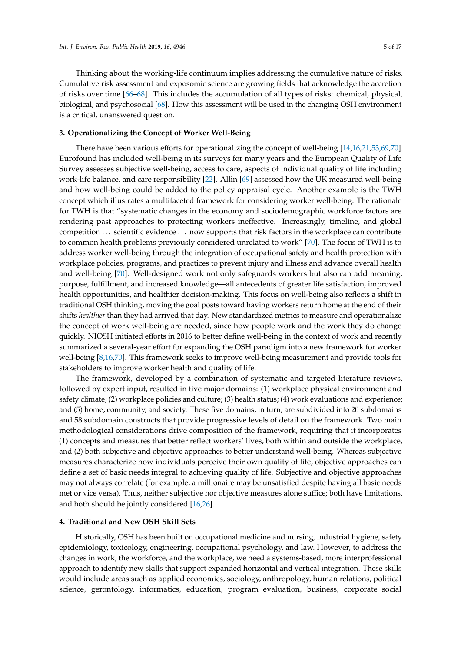Thinking about the working-life continuum implies addressing the cumulative nature of risks. Cumulative risk assessment and exposomic science are growing fields that acknowledge the accretion of risks over time [\[66](#page-14-5)[–68\]](#page-14-6). This includes the accumulation of all types of risks: chemical, physical, biological, and psychosocial [\[68\]](#page-14-6). How this assessment will be used in the changing OSH environment is a critical, unanswered question.

# **3. Operationalizing the Concept of Worker Well-Being**

There have been various efforts for operationalizing the concept of well-being [\[14,](#page-12-17)[16](#page-12-5)[,21](#page-12-18)[,53](#page-13-12)[,69](#page-14-7)[,70\]](#page-14-8). Eurofound has included well-being in its surveys for many years and the European Quality of Life Survey assesses subjective well-being, access to care, aspects of individual quality of life including work-life balance, and care responsibility [\[22\]](#page-12-4). Allin [\[69\]](#page-14-7) assessed how the UK measured well-being and how well-being could be added to the policy appraisal cycle. Another example is the TWH concept which illustrates a multifaceted framework for considering worker well-being. The rationale for TWH is that "systematic changes in the economy and sociodemographic workforce factors are rendering past approaches to protecting workers ineffective. Increasingly, timeline, and global competition ... scientific evidence ... now supports that risk factors in the workplace can contribute to common health problems previously considered unrelated to work" [\[70\]](#page-14-8). The focus of TWH is to address worker well-being through the integration of occupational safety and health protection with workplace policies, programs, and practices to prevent injury and illness and advance overall health and well-being [\[70\]](#page-14-8). Well-designed work not only safeguards workers but also can add meaning, purpose, fulfillment, and increased knowledge—all antecedents of greater life satisfaction, improved health opportunities, and healthier decision-making. This focus on well-being also reflects a shift in traditional OSH thinking, moving the goal posts toward having workers return home at the end of their shifts *healthier* than they had arrived that day. New standardized metrics to measure and operationalize the concept of work well-being are needed, since how people work and the work they do change quickly. NIOSH initiated efforts in 2016 to better define well-being in the context of work and recently summarized a several-year effort for expanding the OSH paradigm into a new framework for worker well-being [\[8,](#page-11-9)[16,](#page-12-5)[70\]](#page-14-8). This framework seeks to improve well-being measurement and provide tools for stakeholders to improve worker health and quality of life.

The framework, developed by a combination of systematic and targeted literature reviews, followed by expert input, resulted in five major domains: (1) workplace physical environment and safety climate; (2) workplace policies and culture; (3) health status; (4) work evaluations and experience; and (5) home, community, and society. These five domains, in turn, are subdivided into 20 subdomains and 58 subdomain constructs that provide progressive levels of detail on the framework. Two main methodological considerations drive composition of the framework, requiring that it incorporates (1) concepts and measures that better reflect workers' lives, both within and outside the workplace, and (2) both subjective and objective approaches to better understand well-being. Whereas subjective measures characterize how individuals perceive their own quality of life, objective approaches can define a set of basic needs integral to achieving quality of life. Subjective and objective approaches may not always correlate (for example, a millionaire may be unsatisfied despite having all basic needs met or vice versa). Thus, neither subjective nor objective measures alone suffice; both have limitations, and both should be jointly considered [\[16](#page-12-5)[,26\]](#page-12-9).

# **4. Traditional and New OSH Skill Sets**

Historically, OSH has been built on occupational medicine and nursing, industrial hygiene, safety epidemiology, toxicology, engineering, occupational psychology, and law. However, to address the changes in work, the workforce, and the workplace, we need a systems-based, more interprofessional approach to identify new skills that support expanded horizontal and vertical integration. These skills would include areas such as applied economics, sociology, anthropology, human relations, political science, gerontology, informatics, education, program evaluation, business, corporate social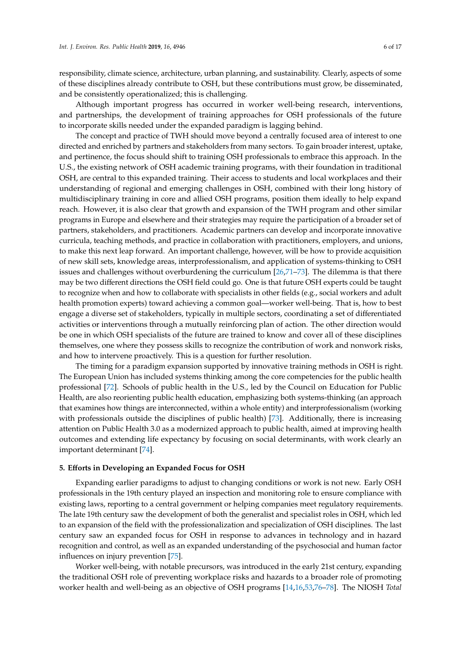responsibility, climate science, architecture, urban planning, and sustainability. Clearly, aspects of some of these disciplines already contribute to OSH, but these contributions must grow, be disseminated, and be consistently operationalized; this is challenging.

Although important progress has occurred in worker well-being research, interventions, and partnerships, the development of training approaches for OSH professionals of the future to incorporate skills needed under the expanded paradigm is lagging behind.

The concept and practice of TWH should move beyond a centrally focused area of interest to one directed and enriched by partners and stakeholders from many sectors. To gain broader interest, uptake, and pertinence, the focus should shift to training OSH professionals to embrace this approach. In the U.S., the existing network of OSH academic training programs, with their foundation in traditional OSH, are central to this expanded training. Their access to students and local workplaces and their understanding of regional and emerging challenges in OSH, combined with their long history of multidisciplinary training in core and allied OSH programs, position them ideally to help expand reach. However, it is also clear that growth and expansion of the TWH program and other similar programs in Europe and elsewhere and their strategies may require the participation of a broader set of partners, stakeholders, and practitioners. Academic partners can develop and incorporate innovative curricula, teaching methods, and practice in collaboration with practitioners, employers, and unions, to make this next leap forward. An important challenge, however, will be how to provide acquisition of new skill sets, knowledge areas, interprofessionalism, and application of systems-thinking to OSH issues and challenges without overburdening the curriculum [\[26](#page-12-9)[,71–](#page-14-9)[73\]](#page-14-10). The dilemma is that there may be two different directions the OSH field could go. One is that future OSH experts could be taught to recognize when and how to collaborate with specialists in other fields (e.g., social workers and adult health promotion experts) toward achieving a common goal—worker well-being. That is, how to best engage a diverse set of stakeholders, typically in multiple sectors, coordinating a set of differentiated activities or interventions through a mutually reinforcing plan of action. The other direction would be one in which OSH specialists of the future are trained to know and cover all of these disciplines themselves, one where they possess skills to recognize the contribution of work and nonwork risks, and how to intervene proactively. This is a question for further resolution.

The timing for a paradigm expansion supported by innovative training methods in OSH is right. The European Union has included systems thinking among the core competencies for the public health professional [\[72\]](#page-14-11). Schools of public health in the U.S., led by the Council on Education for Public Health, are also reorienting public health education, emphasizing both systems-thinking (an approach that examines how things are interconnected, within a whole entity) and interprofessionalism (working with professionals outside the disciplines of public health) [\[73\]](#page-14-10). Additionally, there is increasing attention on Public Health 3.0 as a modernized approach to public health, aimed at improving health outcomes and extending life expectancy by focusing on social determinants, with work clearly an important determinant [\[74\]](#page-14-12).

#### **5. E**ff**orts in Developing an Expanded Focus for OSH**

Expanding earlier paradigms to adjust to changing conditions or work is not new. Early OSH professionals in the 19th century played an inspection and monitoring role to ensure compliance with existing laws, reporting to a central government or helping companies meet regulatory requirements. The late 19th century saw the development of both the generalist and specialist roles in OSH, which led to an expansion of the field with the professionalization and specialization of OSH disciplines. The last century saw an expanded focus for OSH in response to advances in technology and in hazard recognition and control, as well as an expanded understanding of the psychosocial and human factor influences on injury prevention [\[75\]](#page-14-13).

Worker well-being, with notable precursors, was introduced in the early 21st century, expanding the traditional OSH role of preventing workplace risks and hazards to a broader role of promoting worker health and well-being as an objective of OSH programs [\[14,](#page-12-17)[16,](#page-12-5)[53,](#page-13-12)[76](#page-14-14)[–78\]](#page-14-15). The NIOSH *Total*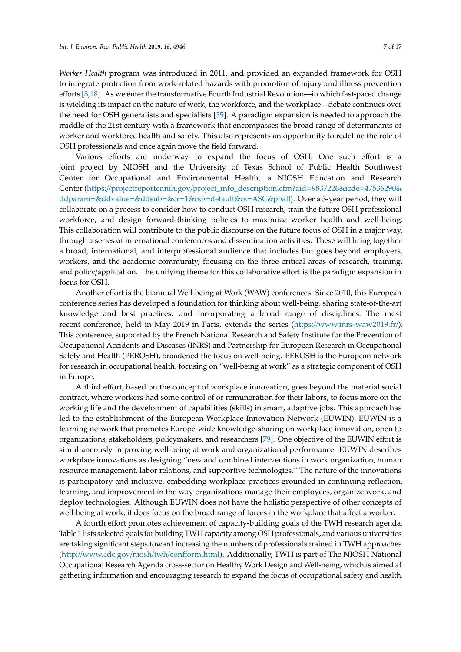*Worker Health* program was introduced in 2011, and provided an expanded framework for OSH to integrate protection from work-related hazards with promotion of injury and illness prevention efforts [\[8](#page-11-9)[,18\]](#page-12-2). As we enter the transformative Fourth Industrial Revolution—in which fast-paced change is wielding its impact on the nature of work, the workforce, and the workplace—debate continues over the need for OSH generalists and specialists [\[35\]](#page-13-0). A paradigm expansion is needed to approach the middle of the 21st century with a framework that encompasses the broad range of determinants of worker and workforce health and safety. This also represents an opportunity to redefine the role of OSH professionals and once again move the field forward.

Various efforts are underway to expand the focus of OSH. One such effort is a joint project by NIOSH and the University of Texas School of Public Health Southwest Center for Occupational and Environmental Health, a NIOSH Education and Research Center (https://projectreporter.nih.gov/[project\\_info\\_description.cfm?aid](https://projectreporter.nih.gov/project_info_description.cfm?aid=9837226&icde=47536290&ddparam=&ddvalue=&ddsub=&cr=1&csb=default&cs=ASC&pball)=9837226&icde=47536290& ddparam=&ddvalue=&ddsub=&cr=1&csb=default&cs=[ASC&pball\)](https://projectreporter.nih.gov/project_info_description.cfm?aid=9837226&icde=47536290&ddparam=&ddvalue=&ddsub=&cr=1&csb=default&cs=ASC&pball). Over a 3-year period, they will collaborate on a process to consider how to conduct OSH research, train the future OSH professional workforce, and design forward-thinking policies to maximize worker health and well-being. This collaboration will contribute to the public discourse on the future focus of OSH in a major way, through a series of international conferences and dissemination activities. These will bring together a broad, international, and interprofessional audience that includes but goes beyond employers, workers, and the academic community, focusing on the three critical areas of research, training, and policy/application. The unifying theme for this collaborative effort is the paradigm expansion in focus for OSH.

Another effort is the biannual Well-being at Work (WAW) conferences. Since 2010, this European conference series has developed a foundation for thinking about well-being, sharing state-of-the-art knowledge and best practices, and incorporating a broad range of disciplines. The most recent conference, held in May 2019 in Paris, extends the series (https://[www.inrs-waw2019.fr](https://www.inrs-waw2019.fr/)/). This conference, supported by the French National Research and Safety Institute for the Prevention of Occupational Accidents and Diseases (INRS) and Partnership for European Research in Occupational Safety and Health (PEROSH), broadened the focus on well-being. PEROSH is the European network for research in occupational health, focusing on "well-being at work" as a strategic component of OSH in Europe.

A third effort, based on the concept of workplace innovation, goes beyond the material social contract, where workers had some control of or remuneration for their labors, to focus more on the working life and the development of capabilities (skills) in smart, adaptive jobs. This approach has led to the establishment of the European Workplace Innovation Network (EUWIN). EUWIN is a learning network that promotes Europe-wide knowledge-sharing on workplace innovation, open to organizations, stakeholders, policymakers, and researchers [\[79\]](#page-15-0). One objective of the EUWIN effort is simultaneously improving well-being at work and organizational performance. EUWIN describes workplace innovations as designing "new and combined interventions in work organization, human resource management, labor relations, and supportive technologies." The nature of the innovations is participatory and inclusive, embedding workplace practices grounded in continuing reflection, learning, and improvement in the way organizations manage their employees, organize work, and deploy technologies. Although EUWIN does not have the holistic perspective of other concepts of well-being at work, it does focus on the broad range of forces in the workplace that affect a worker.

A fourth effort promotes achievement of capacity-building goals of the TWH research agenda. Table [1](#page-7-0) lists selected goals for building TWH capacity among OSH professionals, and various universities are taking significant steps toward increasing the numbers of professionals trained in TWH approaches (http://[www.cdc.gov](http://www.cdc.gov/niosh/twh/confform.html)/niosh/twh/confform.html). Additionally, TWH is part of The NIOSH National Occupational Research Agenda cross-sector on Healthy Work Design and Well-being, which is aimed at gathering information and encouraging research to expand the focus of occupational safety and health.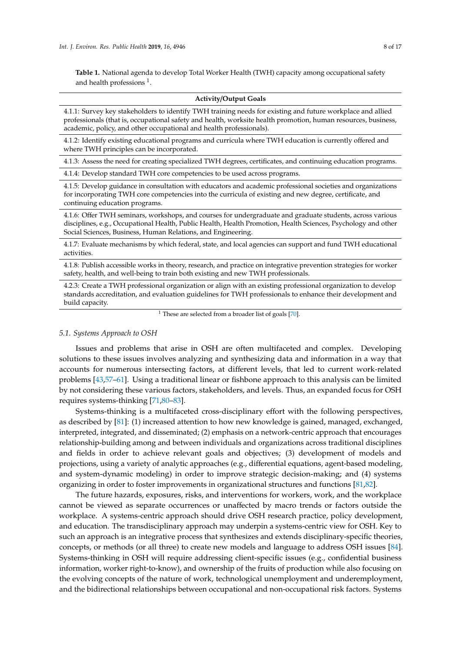<span id="page-7-0"></span>**Table 1.** National agenda to develop Total Worker Health (TWH) capacity among occupational safety and health professions  $<sup>1</sup>$ .</sup>

# **Activity**/**Output Goals**

4.1.1: Survey key stakeholders to identify TWH training needs for existing and future workplace and allied professionals (that is, occupational safety and health, worksite health promotion, human resources, business, academic, policy, and other occupational and health professionals).

4.1.2: Identify existing educational programs and curricula where TWH education is currently offered and where TWH principles can be incorporated.

4.1.3: Assess the need for creating specialized TWH degrees, certificates, and continuing education programs.

4.1.4: Develop standard TWH core competencies to be used across programs.

4.1.5: Develop guidance in consultation with educators and academic professional societies and organizations for incorporating TWH core competencies into the curricula of existing and new degree, certificate, and continuing education programs.

4.1.6: Offer TWH seminars, workshops, and courses for undergraduate and graduate students, across various disciplines, e.g., Occupational Health, Public Health, Health Promotion, Health Sciences, Psychology and other Social Sciences, Business, Human Relations, and Engineering.

4.1.7: Evaluate mechanisms by which federal, state, and local agencies can support and fund TWH educational activities.

4.1.8: Publish accessible works in theory, research, and practice on integrative prevention strategies for worker safety, health, and well-being to train both existing and new TWH professionals.

4.2.3: Create a TWH professional organization or align with an existing professional organization to develop standards accreditation, and evaluation guidelines for TWH professionals to enhance their development and build capacity.

 $1$  These are selected from a broader list of goals [\[70\]](#page-14-8).

#### *5.1. Systems Approach to OSH*

Issues and problems that arise in OSH are often multifaceted and complex. Developing solutions to these issues involves analyzing and synthesizing data and information in a way that accounts for numerous intersecting factors, at different levels, that led to current work-related problems [\[43](#page-13-17)[,57–](#page-14-16)[61\]](#page-14-17). Using a traditional linear or fishbone approach to this analysis can be limited by not considering these various factors, stakeholders, and levels. Thus, an expanded focus for OSH requires systems-thinking [\[71](#page-14-9)[,80–](#page-15-1)[83\]](#page-15-2).

Systems-thinking is a multifaceted cross-disciplinary effort with the following perspectives, as described by [\[81\]](#page-15-3): (1) increased attention to how new knowledge is gained, managed, exchanged, interpreted, integrated, and disseminated; (2) emphasis on a network-centric approach that encourages relationship-building among and between individuals and organizations across traditional disciplines and fields in order to achieve relevant goals and objectives; (3) development of models and projections, using a variety of analytic approaches (e.g., differential equations, agent-based modeling, and system-dynamic modeling) in order to improve strategic decision-making; and (4) systems organizing in order to foster improvements in organizational structures and functions [\[81](#page-15-3)[,82\]](#page-15-4).

The future hazards, exposures, risks, and interventions for workers, work, and the workplace cannot be viewed as separate occurrences or unaffected by macro trends or factors outside the workplace. A systems-centric approach should drive OSH research practice, policy development, and education. The transdisciplinary approach may underpin a systems-centric view for OSH. Key to such an approach is an integrative process that synthesizes and extends disciplinary-specific theories, concepts, or methods (or all three) to create new models and language to address OSH issues [\[84\]](#page-15-5). Systems-thinking in OSH will require addressing client-specific issues (e.g., confidential business information, worker right-to-know), and ownership of the fruits of production while also focusing on the evolving concepts of the nature of work, technological unemployment and underemployment, and the bidirectional relationships between occupational and non-occupational risk factors. Systems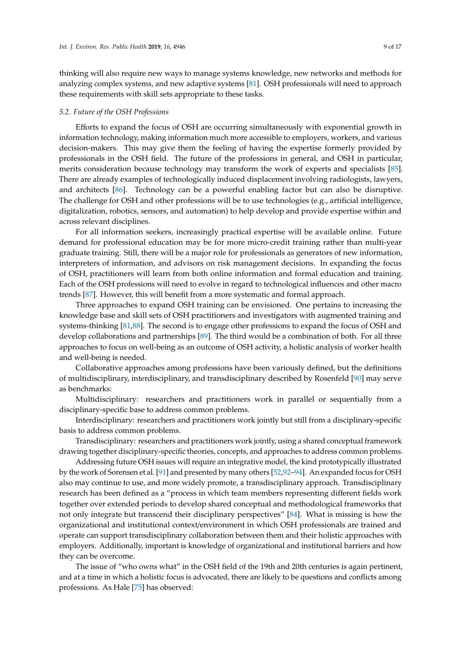thinking will also require new ways to manage systems knowledge, new networks and methods for analyzing complex systems, and new adaptive systems [\[81\]](#page-15-3). OSH professionals will need to approach these requirements with skill sets appropriate to these tasks.

#### *5.2. Future of the OSH Professions*

Efforts to expand the focus of OSH are occurring simultaneously with exponential growth in information technology, making information much more accessible to employers, workers, and various decision-makers. This may give them the feeling of having the expertise formerly provided by professionals in the OSH field. The future of the professions in general, and OSH in particular, merits consideration because technology may transform the work of experts and specialists [\[85\]](#page-15-6). There are already examples of technologically induced displacement involving radiologists, lawyers, and architects [\[86\]](#page-15-7). Technology can be a powerful enabling factor but can also be disruptive. The challenge for OSH and other professions will be to use technologies (e.g., artificial intelligence, digitalization, robotics, sensors, and automation) to help develop and provide expertise within and across relevant disciplines.

For all information seekers, increasingly practical expertise will be available online. Future demand for professional education may be for more micro-credit training rather than multi-year graduate training. Still, there will be a major role for professionals as generators of new information, interpreters of information, and advisors on risk management decisions. In expanding the focus of OSH, practitioners will learn from both online information and formal education and training. Each of the OSH professions will need to evolve in regard to technological influences and other macro trends [\[87\]](#page-15-8). However, this will benefit from a more systematic and formal approach.

Three approaches to expand OSH training can be envisioned. One pertains to increasing the knowledge base and skill sets of OSH practitioners and investigators with augmented training and systems-thinking [\[81](#page-15-3)[,88\]](#page-15-9). The second is to engage other professions to expand the focus of OSH and develop collaborations and partnerships [\[89\]](#page-15-10). The third would be a combination of both. For all three approaches to focus on well-being as an outcome of OSH activity, a holistic analysis of worker health and well-being is needed.

Collaborative approaches among professions have been variously defined, but the definitions of multidisciplinary, interdisciplinary, and transdisciplinary described by Rosenfeld [\[90\]](#page-15-11) may serve as benchmarks:

Multidisciplinary: researchers and practitioners work in parallel or sequentially from a disciplinary-specific base to address common problems.

Interdisciplinary: researchers and practitioners work jointly but still from a disciplinary-specific basis to address common problems.

Transdisciplinary: researchers and practitioners work jointly, using a shared conceptual framework drawing together disciplinary-specific theories, concepts, and approaches to address common problems.

Addressing future OSH issues will require an integrative model, the kind prototypically illustrated by the work of Sorensen et al. [\[91\]](#page-15-12) and presented by many others [\[52,](#page-13-13)[92](#page-15-13)[–94\]](#page-15-14). An expanded focus for OSH also may continue to use, and more widely promote, a transdisciplinary approach. Transdisciplinary research has been defined as a "process in which team members representing different fields work together over extended periods to develop shared conceptual and methodological frameworks that not only integrate but transcend their disciplinary perspectives" [\[84\]](#page-15-5). What is missing is how the organizational and institutional context/environment in which OSH professionals are trained and operate can support transdisciplinary collaboration between them and their holistic approaches with employers. Additionally, important is knowledge of organizational and institutional barriers and how they can be overcome.

The issue of "who owns what" in the OSH field of the 19th and 20th centuries is again pertinent, and at a time in which a holistic focus is advocated, there are likely to be questions and conflicts among professions. As Hale [\[75\]](#page-14-13) has observed: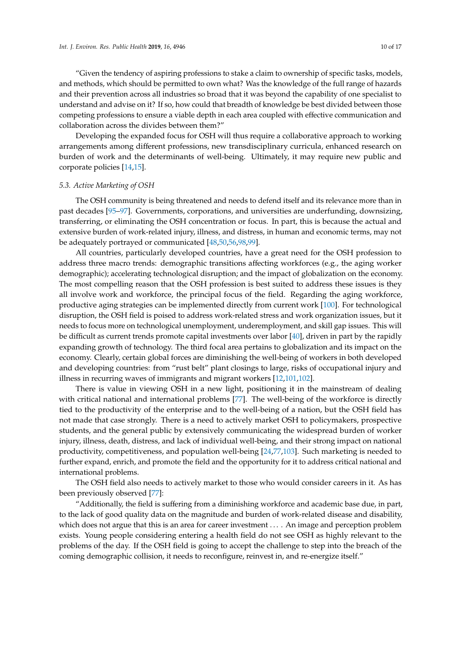"Given the tendency of aspiring professions to stake a claim to ownership of specific tasks, models, and methods, which should be permitted to own what? Was the knowledge of the full range of hazards and their prevention across all industries so broad that it was beyond the capability of one specialist to understand and advise on it? If so, how could that breadth of knowledge be best divided between those competing professions to ensure a viable depth in each area coupled with effective communication and collaboration across the divides between them?"

Developing the expanded focus for OSH will thus require a collaborative approach to working arrangements among different professions, new transdisciplinary curricula, enhanced research on burden of work and the determinants of well-being. Ultimately, it may require new public and corporate policies [\[14](#page-12-17)[,15\]](#page-12-6).

#### *5.3. Active Marketing of OSH*

The OSH community is being threatened and needs to defend itself and its relevance more than in past decades [\[95](#page-15-15)[–97\]](#page-15-16). Governments, corporations, and universities are underfunding, downsizing, transferring, or eliminating the OSH concentration or focus. In part, this is because the actual and extensive burden of work-related injury, illness, and distress, in human and economic terms, may not be adequately portrayed or communicated [\[48](#page-13-14)[,50](#page-13-10)[,56](#page-14-0)[,98,](#page-15-17)[99\]](#page-15-18).

All countries, particularly developed countries, have a great need for the OSH profession to address three macro trends: demographic transitions affecting workforces (e.g., the aging worker demographic); accelerating technological disruption; and the impact of globalization on the economy. The most compelling reason that the OSH profession is best suited to address these issues is they all involve work and workforce, the principal focus of the field. Regarding the aging workforce, productive aging strategies can be implemented directly from current work [\[100\]](#page-15-19). For technological disruption, the OSH field is poised to address work-related stress and work organization issues, but it needs to focus more on technological unemployment, underemployment, and skill gap issues. This will be difficult as current trends promote capital investments over labor [\[40\]](#page-13-3), driven in part by the rapidly expanding growth of technology. The third focal area pertains to globalization and its impact on the economy. Clearly, certain global forces are diminishing the well-being of workers in both developed and developing countries: from "rust belt" plant closings to large, risks of occupational injury and illness in recurring waves of immigrants and migrant workers [\[12,](#page-11-4)[101,](#page-15-20)[102\]](#page-15-21).

There is value in viewing OSH in a new light, positioning it in the mainstream of dealing with critical national and international problems [\[77\]](#page-14-18). The well-being of the workforce is directly tied to the productivity of the enterprise and to the well-being of a nation, but the OSH field has not made that case strongly. There is a need to actively market OSH to policymakers, prospective students, and the general public by extensively communicating the widespread burden of worker injury, illness, death, distress, and lack of individual well-being, and their strong impact on national productivity, competitiveness, and population well-being [\[24,](#page-12-19)[77,](#page-14-18)[103\]](#page-15-22). Such marketing is needed to further expand, enrich, and promote the field and the opportunity for it to address critical national and international problems.

The OSH field also needs to actively market to those who would consider careers in it. As has been previously observed [\[77\]](#page-14-18):

"Additionally, the field is suffering from a diminishing workforce and academic base due, in part, to the lack of good quality data on the magnitude and burden of work-related disease and disability, which does not argue that this is an area for career investment ... . An image and perception problem exists. Young people considering entering a health field do not see OSH as highly relevant to the problems of the day. If the OSH field is going to accept the challenge to step into the breach of the coming demographic collision, it needs to reconfigure, reinvest in, and re-energize itself."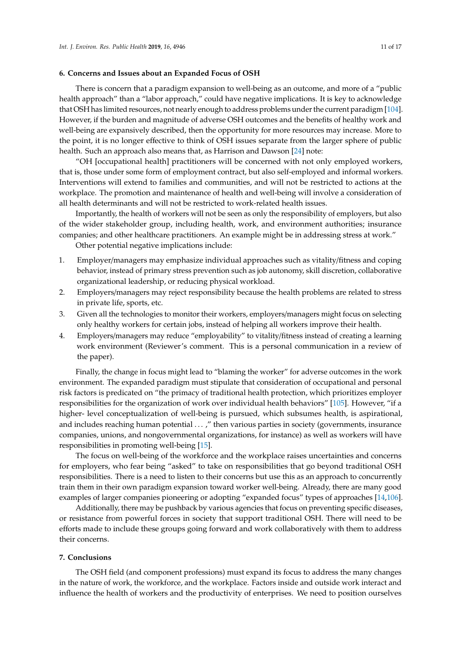#### **6. Concerns and Issues about an Expanded Focus of OSH**

There is concern that a paradigm expansion to well-being as an outcome, and more of a "public health approach" than a "labor approach," could have negative implications. It is key to acknowledge that OSH has limited resources, not nearly enough to address problems under the current paradigm [\[104\]](#page-15-23). However, if the burden and magnitude of adverse OSH outcomes and the benefits of healthy work and well-being are expansively described, then the opportunity for more resources may increase. More to the point, it is no longer effective to think of OSH issues separate from the larger sphere of public health. Such an approach also means that, as Harrison and Dawson [\[24\]](#page-12-19) note:

"OH [occupational health] practitioners will be concerned with not only employed workers, that is, those under some form of employment contract, but also self-employed and informal workers. Interventions will extend to families and communities, and will not be restricted to actions at the workplace. The promotion and maintenance of health and well-being will involve a consideration of all health determinants and will not be restricted to work-related health issues.

Importantly, the health of workers will not be seen as only the responsibility of employers, but also of the wider stakeholder group, including health, work, and environment authorities; insurance companies; and other healthcare practitioners. An example might be in addressing stress at work."

Other potential negative implications include:

- 1. Employer/managers may emphasize individual approaches such as vitality/fitness and coping behavior, instead of primary stress prevention such as job autonomy, skill discretion, collaborative organizational leadership, or reducing physical workload.
- 2. Employers/managers may reject responsibility because the health problems are related to stress in private life, sports, etc.
- 3. Given all the technologies to monitor their workers, employers/managers might focus on selecting only healthy workers for certain jobs, instead of helping all workers improve their health.
- 4. Employers/managers may reduce "employability" to vitality/fitness instead of creating a learning work environment (Reviewer's comment. This is a personal communication in a review of the paper).

Finally, the change in focus might lead to "blaming the worker" for adverse outcomes in the work environment. The expanded paradigm must stipulate that consideration of occupational and personal risk factors is predicated on "the primacy of traditional health protection, which prioritizes employer responsibilities for the organization of work over individual health behaviors" [\[105\]](#page-16-0). However, "if a higher- level conceptualization of well-being is pursued, which subsumes health, is aspirational, and includes reaching human potential ...," then various parties in society (governments, insurance companies, unions, and nongovernmental organizations, for instance) as well as workers will have responsibilities in promoting well-being [\[15\]](#page-12-6).

The focus on well-being of the workforce and the workplace raises uncertainties and concerns for employers, who fear being "asked" to take on responsibilities that go beyond traditional OSH responsibilities. There is a need to listen to their concerns but use this as an approach to concurrently train them in their own paradigm expansion toward worker well-being. Already, there are many good examples of larger companies pioneering or adopting "expanded focus" types of approaches [\[14,](#page-12-17)[106\]](#page-16-1).

Additionally, there may be pushback by various agencies that focus on preventing specific diseases, or resistance from powerful forces in society that support traditional OSH. There will need to be efforts made to include these groups going forward and work collaboratively with them to address their concerns.

#### **7. Conclusions**

The OSH field (and component professions) must expand its focus to address the many changes in the nature of work, the workforce, and the workplace. Factors inside and outside work interact and influence the health of workers and the productivity of enterprises. We need to position ourselves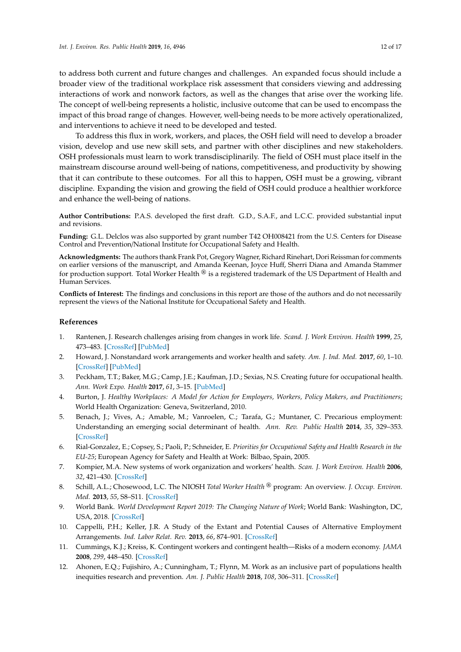to address both current and future changes and challenges. An expanded focus should include a broader view of the traditional workplace risk assessment that considers viewing and addressing interactions of work and nonwork factors, as well as the changes that arise over the working life. The concept of well-being represents a holistic, inclusive outcome that can be used to encompass the impact of this broad range of changes. However, well-being needs to be more actively operationalized, and interventions to achieve it need to be developed and tested.

To address this flux in work, workers, and places, the OSH field will need to develop a broader vision, develop and use new skill sets, and partner with other disciplines and new stakeholders. OSH professionals must learn to work transdisciplinarily. The field of OSH must place itself in the mainstream discourse around well-being of nations, competitiveness, and productivity by showing that it can contribute to these outcomes. For all this to happen, OSH must be a growing, vibrant discipline. Expanding the vision and growing the field of OSH could produce a healthier workforce and enhance the well-being of nations.

**Author Contributions:** P.A.S. developed the first draft. G.D., S.A.F., and L.C.C. provided substantial input and revisions.

**Funding:** G.L. Delclos was also supported by grant number T42 OH008421 from the U.S. Centers for Disease Control and Prevention/National Institute for Occupational Safety and Health.

**Acknowledgments:** The authors thank Frank Pot, Gregory Wagner, Richard Rinehart, Dori Reissman for comments on earlier versions of the manuscript, and Amanda Keenan, Joyce Huff, Sherri Diana and Amanda Stammer for production support. Total Worker Health <sup>®</sup> is a registered trademark of the US Department of Health and Human Services.

**Conflicts of Interest:** The findings and conclusions in this report are those of the authors and do not necessarily represent the views of the National Institute for Occupational Safety and Health.

#### **References**

- <span id="page-11-0"></span>1. Rantenen, J. Research challenges arising from changes in work life. *Scand. J. Work Environ. Health* **1999**, *25*, 473–483. [\[CrossRef\]](http://dx.doi.org/10.5271/sjweh.469) [\[PubMed\]](http://www.ncbi.nlm.nih.gov/pubmed/10884142)
- <span id="page-11-5"></span>2. Howard, J. Nonstandard work arrangements and worker health and safety. *Am. J. Ind. Med.* **2017**, *60*, 1–10. [\[CrossRef\]](http://dx.doi.org/10.1002/ajim.22669) [\[PubMed\]](http://www.ncbi.nlm.nih.gov/pubmed/27779787)
- <span id="page-11-7"></span>3. Peckham, T.T.; Baker, M.G.; Camp, J.E.; Kaufman, J.D.; Sexias, N.S. Creating future for occupational health. *Ann. Work Expo. Health* **2017**, *61*, 3–15. [\[PubMed\]](http://www.ncbi.nlm.nih.gov/pubmed/28395315)
- <span id="page-11-6"></span>4. Burton, J. *Healthy Workplaces: A Model for Action for Employers, Workers, Policy Makers, and Practitioners*; World Health Organization: Geneva, Switzerland, 2010.
- <span id="page-11-2"></span>5. Benach, J.; Vives, A.; Amable, M.; Vanroelen, C.; Tarafa, G.; Muntaner, C. Precarious employment: Understanding an emerging social determinant of health. *Ann. Rev. Public Health* **2014**, *35*, 329–353. [\[CrossRef\]](http://dx.doi.org/10.1146/annurev-publhealth-032013-182500)
- 6. Rial-Gonzalez, E.; Copsey, S.; Paoli, P.; Schneider, E. *Priorities for Occupational Safety and Health Research in the EU-25*; European Agency for Safety and Health at Work: Bilbao, Spain, 2005.
- 7. Kompier, M.A. New systems of work organization and workers' health. *Scan. J. Work Environ. Health* **2006**, *32*, 421–430. [\[CrossRef\]](http://dx.doi.org/10.5271/sjweh.1048)
- <span id="page-11-9"></span>8. Schill, A.L.; Chosewood, L.C. The NIOSH *Total Worker Health* ® program: An overview. *J. Occup. Environ. Med.* **2013**, *55*, S8–S11. [\[CrossRef\]](http://dx.doi.org/10.1097/JOM.0000000000000037)
- <span id="page-11-1"></span>9. World Bank. *World Development Report 2019: The Changing Nature of Work*; World Bank: Washington, DC, USA, 2018. [\[CrossRef\]](http://dx.doi.org/10.1596/978-1-7648-1328-2)
- <span id="page-11-3"></span>10. Cappelli, P.H.; Keller, J.R. A Study of the Extant and Potential Causes of Alternative Employment Arrangements. *Ind. Labor Relat. Rev.* **2013**, *66*, 874–901. [\[CrossRef\]](http://dx.doi.org/10.1177/001979391306600406)
- <span id="page-11-8"></span>11. Cummings, K.J.; Kreiss, K. Contingent workers and contingent health—Risks of a modern economy. *JAMA* **2008**, *299*, 448–450. [\[CrossRef\]](http://dx.doi.org/10.1001/jama.299.4.448)
- <span id="page-11-4"></span>12. Ahonen, E.Q.; Fujishiro, A.; Cunningham, T.; Flynn, M. Work as an inclusive part of populations health inequities research and prevention. *Am. J. Public Health* **2018**, *108*, 306–311. [\[CrossRef\]](http://dx.doi.org/10.2105/AJPH.2017.304214)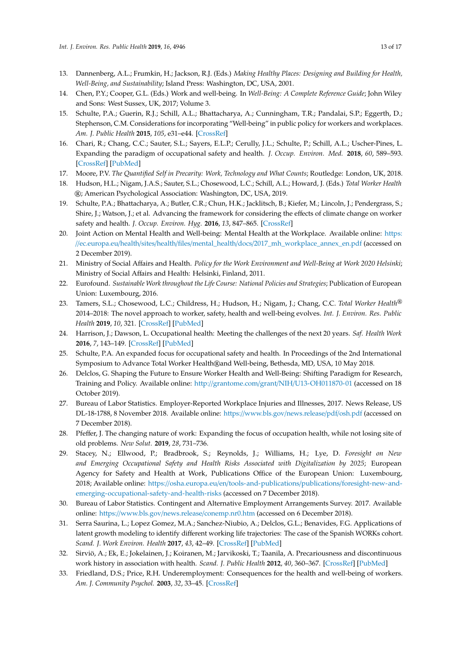- <span id="page-12-0"></span>13. Dannenberg, A.L.; Frumkin, H.; Jackson, R.J. (Eds.) *Making Healthy Places: Designing and Building for Health, Well-Being, and Sustainability*; Island Press: Washington, DC, USA, 2001.
- <span id="page-12-17"></span>14. Chen, P.Y.; Cooper, G.L. (Eds.) Work and well-being. In *Well-Being: A Complete Reference Guide*; John Wiley and Sons: West Sussex, UK, 2017; Volume 3.
- <span id="page-12-6"></span>15. Schulte, P.A.; Guerin, R.J.; Schill, A.L.; Bhattacharya, A.; Cunningham, T.R.; Pandalai, S.P.; Eggerth, D.; Stephenson, C.M. Considerations for incorporating "Well-being" in public policy for workers and workplaces. *Am. J. Public Health* **2015**, *105*, e31–e44. [\[CrossRef\]](http://dx.doi.org/10.2105/AJPH.2015.302616)
- <span id="page-12-5"></span>16. Chari, R.; Chang, C.C.; Sauter, S.L.; Sayers, E.L.P.; Cerully, J.L.; Schulte, P.; Schill, A.L.; Uscher-Pines, L. Expanding the paradigm of occupational safety and health. *J. Occup. Environ. Med.* **2018**, *60*, 589–593. [\[CrossRef\]](http://dx.doi.org/10.1097/JOM.0000000000001330) [\[PubMed\]](http://www.ncbi.nlm.nih.gov/pubmed/29608542)
- <span id="page-12-13"></span>17. Moore, P.V. *The Quantified Self in Precarity: Work, Technology and What Counts*; Routledge: London, UK, 2018.
- <span id="page-12-2"></span>18. Hudson, H.L.; Nigam, J.A.S.; Sauter, S.L.; Chosewood, L.C.; Schill, A.L.; Howard, J. (Eds.) *Total Worker Health* ®; American Psychological Association: Washington, DC, USA, 2019.
- <span id="page-12-1"></span>19. Schulte, P.A.; Bhattacharya, A.; Butler, C.R.; Chun, H.K.; Jacklitsch, B.; Kiefer, M.; Lincoln, J.; Pendergrass, S.; Shire, J.; Watson, J.; et al. Advancing the framework for considering the effects of climate change on worker safety and health. *J. Occup. Environ. Hyg.* **2016**, *13*, 847–865. [\[CrossRef\]](http://dx.doi.org/10.1080/15459624.2016.1179388)
- <span id="page-12-3"></span>20. Joint Action on Mental Health and Well-being: Mental Health at the Workplace. Available online: [https:](https://ec.europa.eu/health/sites/health/files/mental_health/docs/2017_mh_workplace_annex_en.pdf) //ec.europa.eu/health/sites/health/files/mental\_health/docs/[2017\\_mh\\_workplace\\_annex\\_en.pdf](https://ec.europa.eu/health/sites/health/files/mental_health/docs/2017_mh_workplace_annex_en.pdf) (accessed on 2 December 2019).
- <span id="page-12-18"></span>21. Ministry of Social Affairs and Health. *Policy for the Work Environment and Well-Being at Work 2020 Helsinki*; Ministry of Social Affairs and Health: Helsinki, Finland, 2011.
- <span id="page-12-4"></span>22. Eurofound. *Sustainable Work throughout the Life Course: National Policies and Strategies*; Publication of European Union: Luxembourg, 2016.
- <span id="page-12-7"></span>23. Tamers, S.L.; Chosewood, L.C.; Childress, H.; Hudson, H.; Nigam, J.; Chang, C.C. *Total Worker Health*® 2014–2018: The novel approach to worker, safety, health and well-being evolves. *Int. J. Environ. Res. Public Health* **2019**, *10*, 321. [\[CrossRef\]](http://dx.doi.org/10.3390/ijerph16030321) [\[PubMed\]](http://www.ncbi.nlm.nih.gov/pubmed/30682773)
- <span id="page-12-19"></span>24. Harrison, J.; Dawson, L. Occupational health: Meeting the challenges of the next 20 years. *Saf. Health Work* **2016**, *7*, 143–149. [\[CrossRef\]](http://dx.doi.org/10.1016/j.shaw.2015.12.004) [\[PubMed\]](http://www.ncbi.nlm.nih.gov/pubmed/27340602)
- <span id="page-12-8"></span>25. Schulte, P.A. An expanded focus for occupational safety and health. In Proceedings of the 2nd International Symposium to Advance Total Worker Health®and Well-being, Bethesda, MD, USA, 10 May 2018.
- <span id="page-12-9"></span>26. Delclos, G. Shaping the Future to Ensure Worker Health and Well-Being: Shifting Paradigm for Research, Training and Policy. Available online: http://grantome.com/grant/NIH/[U13-OH011870-01](http://grantome.com/grant/NIH/U13-OH011870-01) (accessed on 18 October 2019).
- <span id="page-12-10"></span>27. Bureau of Labor Statistics. Employer-Reported Workplace Injuries and Illnesses, 2017. News Release, US DL-18-1788, 8 November 2018. Available online: https://[www.bls.gov](https://www.bls.gov/news.release/pdf/osh.pdf)/news.release/pdf/osh.pdf (accessed on 7 December 2018).
- <span id="page-12-11"></span>28. Pfeffer, J. The changing nature of work: Expanding the focus of occupation health, while not losing site of old problems. *New Solut.* **2019**, *28*, 731–736.
- <span id="page-12-12"></span>29. Stacey, N.; Ellwood, P.; Bradbrook, S.; Reynolds, J.; Williams, H.; Lye, D. *Foresight on New and Emerging Occupational Safety and Health Risks Associated with Digitalization by 2025*; European Agency for Safety and Health at Work, Publications Office of the European Union: Luxembourg, 2018; Available online: https://osha.europa.eu/en/[tools-and-publications](https://osha.europa.eu/en/tools-and-publications/publications/foresight-new-and-emerging-occupational-safety-and-health-risks)/publications/foresight-new-and[emerging-occupational-safety-and-health-risks](https://osha.europa.eu/en/tools-and-publications/publications/foresight-new-and-emerging-occupational-safety-and-health-risks) (accessed on 7 December 2018).
- <span id="page-12-14"></span>30. Bureau of Labor Statistics. Contingent and Alternative Employment Arrangements Survey. 2017. Available online: https://www.bls.gov/news.release/[conemp.nr0.htm](https://www.bls.gov/news.release/conemp.nr0.htm) (accessed on 6 December 2018).
- <span id="page-12-15"></span>31. Serra Saurina, L.; Lopez Gomez, M.A.; Sanchez-Niubio, A.; Delclos, G.L.; Benavides, F.G. Applications of latent growth modeling to identify different working life trajectories: The case of the Spanish WORKs cohort. *Scand. J. Work Environ. Health* **2017**, *43*, 42–49. [\[CrossRef\]](http://dx.doi.org/10.5271/sjweh.3606) [\[PubMed\]](http://www.ncbi.nlm.nih.gov/pubmed/27911960)
- 32. Sirviö, A.; Ek, E.; Jokelainen, J.; Koiranen, M.; Jarvikoski, T.; Taanila, A. Precariousness and discontinuous work history in association with health. *Scand. J. Public Health* **2012**, *40*, 360–367. [\[CrossRef\]](http://dx.doi.org/10.1177/1403494812450092) [\[PubMed\]](http://www.ncbi.nlm.nih.gov/pubmed/22786921)
- <span id="page-12-16"></span>33. Friedland, D.S.; Price, R.H. Underemployment: Consequences for the health and well-being of workers. *Am. J. Community Psychol.* **2003**, *32*, 33–45. [\[CrossRef\]](http://dx.doi.org/10.1023/A:1025638705649)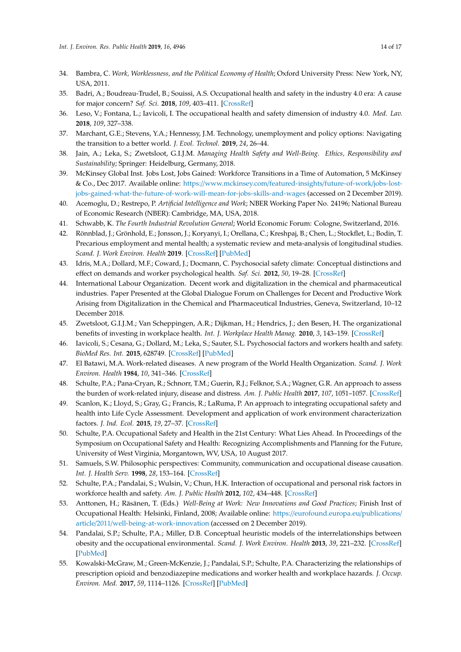- 34. Bambra, C. *Work, Worklessness, and the Political Economy of Health*; Oxford University Press: New York, NY, USA, 2011.
- <span id="page-13-0"></span>35. Badri, A.; Boudreau-Trudel, B.; Souissi, A.S. Occupational health and safety in the industry 4.0 era: A cause for major concern? *Saf. Sci.* **2018**, *109*, 403–411. [\[CrossRef\]](http://dx.doi.org/10.1016/j.ssci.2018.06.012)
- <span id="page-13-1"></span>36. Leso, V.; Fontana, L.; Iavicoli, I. The occupational health and safety dimension of industry 4.0. *Med. Lav.* **2018**, *109*, 327–338.
- <span id="page-13-5"></span>37. Marchant, G.E.; Stevens, Y.A.; Hennessy, J.M. Technology, unemployment and policy options: Navigating the transition to a better world. *J. Evol. Technol.* **2019**, *24*, 26–44.
- <span id="page-13-8"></span>38. Jain, A.; Leka, S.; Zwetsloot, G.I.J.M. *Managing Health Safety and Well-Being. Ethics, Responsibility and Sustainability*; Springer: Heidelburg, Germany, 2018.
- <span id="page-13-2"></span>39. McKinsey Global Inst. Jobs Lost, Jobs Gained: Workforce Transitions in a Time of Automation, 5 McKinsey & Co., Dec 2017. Available online: https://[www.mckinsey.com](https://www.mckinsey.com/featured-insights/future-of-work/jobs-lost-jobs-gained-what-the-future-of-work-will-mean-for-jobs-skills-and-wages)/featured-insights/future-of-work/jobs-lost[jobs-gained-what-the-future-of-work-will-mean-for-jobs-skills-and-wages](https://www.mckinsey.com/featured-insights/future-of-work/jobs-lost-jobs-gained-what-the-future-of-work-will-mean-for-jobs-skills-and-wages) (accessed on 2 December 2019).
- <span id="page-13-3"></span>40. Acemoglu, D.; Restrepo, P. *Artificial Intelligence and Work*; NBER Working Paper No. 24196; National Bureau of Economic Research (NBER): Cambridge, MA, USA, 2018.
- <span id="page-13-4"></span>41. Schwabb, K. *The Fourth Industrial Revolution General*; World Economic Forum: Cologne, Switzerland, 2016.
- <span id="page-13-6"></span>42. Rönnblad, J.; Grönhold, E.; Jonsson, J.; Koryanyi, I.; Orellana, C.; Kreshpaj, B.; Chen, L.; Stockflet, L.; Bodin, T. Precarious employment and mental health; a systematic review and meta-analysis of longitudinal studies. *Scand. J. Work Environ. Health* **2019**. [\[CrossRef\]](http://dx.doi.org/10.5271/sjweh.3797) [\[PubMed\]](http://www.ncbi.nlm.nih.gov/pubmed/31165899)
- <span id="page-13-17"></span>43. Idris, M.A.; Dollard, M.F.; Coward, J.; Docmann, C. Psychosocial safety climate: Conceptual distinctions and effect on demands and worker psychological health. *Saf. Sci.* **2012**, *50*, 19–28. [\[CrossRef\]](http://dx.doi.org/10.1016/j.ssci.2011.06.005)
- <span id="page-13-9"></span>44. International Labour Organization. Decent work and digitalization in the chemical and pharmaceutical industries. Paper Presented at the Global Dialogue Forum on Challenges for Decent and Productive Work Arising from Digitalization in the Chemical and Pharmaceutical Industries, Geneva, Switzerland, 10–12 December 2018.
- 45. Zwetsloot, G.I.J.M.; Van Scheppingen, A.R.; Dijkman, H.; Hendrics, J.; den Besen, H. The organizational benefits of investing in workplace health. *Int. J. Workplace Health Manag.* **2010**, *3*, 143–159. [\[CrossRef\]](http://dx.doi.org/10.1108/17538351011055032)
- <span id="page-13-7"></span>46. Iavicoli, S.; Cesana, G.; Dollard, M.; Leka, S.; Sauter, S.L. Psychosocial factors and workers health and safety. *BioMed Res. Int.* **2015**, 628749. [\[CrossRef\]](http://dx.doi.org/10.1155/2015/628749) [\[PubMed\]](http://www.ncbi.nlm.nih.gov/pubmed/26634211)
- <span id="page-13-11"></span>47. El Batawi, M.A. Work-related diseases. A new program of the World Health Organization. *Scand. J. Work Environ. Health* **1984**, *10*, 341–346. [\[CrossRef\]](http://dx.doi.org/10.5271/sjweh.2309)
- <span id="page-13-14"></span>48. Schulte, P.A.; Pana-Cryan, R.; Schnorr, T.M.; Guerin, R.J.; Felknor, S.A.; Wagner, G.R. An approach to assess the burden of work-related injury, disease and distress. *Am. J. Public Health* **2017**, *107*, 1051–1057. [\[CrossRef\]](http://dx.doi.org/10.2105/AJPH.2017.303765)
- 49. Scanlon, K.; Lloyd, S.; Gray, G.; Francis, R.; LaRuma, P. An approach to integrating occupational safety and health into Life Cycle Assessment. Development and application of work environment characterization factors. *J. Ind. Ecol.* **2015**, *19*, 27–37. [\[CrossRef\]](http://dx.doi.org/10.1111/jiec.12146)
- <span id="page-13-10"></span>50. Schulte, P.A. Occupational Safety and Health in the 21st Century: What Lies Ahead. In Proceedings of the Symposium on Occupational Safety and Health: Recognizing Accomplishments and Planning for the Future, University of West Virginia, Morgantown, WV, USA, 10 August 2017.
- 51. Samuels, S.W. Philosophic perspectives: Community, communication and occupational disease causation. *Int. J. Health Serv.* **1998**, *28*, 153–164. [\[CrossRef\]](http://dx.doi.org/10.2190/44MR-YPQF-KUKP-NPQY)
- <span id="page-13-13"></span>52. Schulte, P.A.; Pandalai, S.; Wulsin, V.; Chun, H.K. Interaction of occupational and personal risk factors in workforce health and safety. *Am. J. Public Health* **2012**, *102*, 434–448. [\[CrossRef\]](http://dx.doi.org/10.2105/AJPH.2011.300249)
- <span id="page-13-12"></span>53. Anttonen, H.; Räsänen, T. (Eds.) *Well-Being at Work: New Innovations and Good Practices*; Finish Inst of Occupational Health: Helsinki, Finland, 2008; Available online: https://[eurofound.europa.eu](https://eurofound.europa.eu/publications/article/2011/well-being-at-work-innovation)/publications/ article/2011/[well-being-at-work-innovation](https://eurofound.europa.eu/publications/article/2011/well-being-at-work-innovation) (accessed on 2 December 2019).
- <span id="page-13-15"></span>54. Pandalai, S.P.; Schulte, P.A.; Miller, D.B. Conceptual heuristic models of the interrelationships between obesity and the occupational environmental. *Scand. J. Work Environ. Health* **2013**, *39*, 221–232. [\[CrossRef\]](http://dx.doi.org/10.5271/sjweh.3363) [\[PubMed\]](http://www.ncbi.nlm.nih.gov/pubmed/23588858)
- <span id="page-13-16"></span>55. Kowalski-McGraw, M.; Green-McKenzie, J.; Pandalai, S.P.; Schulte, P.A. Characterizing the relationships of prescription opioid and benzodiazepine medications and worker health and workplace hazards. *J. Occup. Environ. Med.* **2017**, *59*, 1114–1126. [\[CrossRef\]](http://dx.doi.org/10.1097/JOM.0000000000001154) [\[PubMed\]](http://www.ncbi.nlm.nih.gov/pubmed/28930799)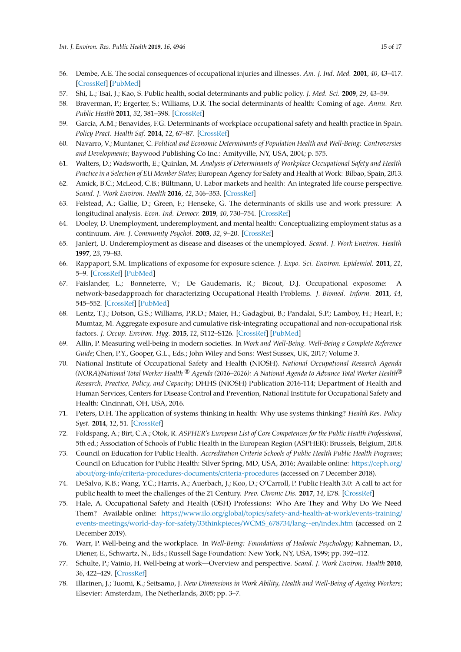- <span id="page-14-0"></span>56. Dembe, A.E. The social consequences of occupational injuries and illnesses. *Am. J. Ind. Med.* **2001**, *40*, 43–417. [\[CrossRef\]](http://dx.doi.org/10.1002/ajim.1113) [\[PubMed\]](http://www.ncbi.nlm.nih.gov/pubmed/11598991)
- <span id="page-14-16"></span>57. Shi, L.; Tsai, J.; Kao, S. Public health, social determinants and public policy. *J. Med. Sci.* **2009**, *29*, 43–59.
- 58. Braverman, P.; Ergerter, S.; Williams, D.R. The social determinants of health: Coming of age. *Annu. Rev. Public Health* **2011**, *32*, 381–398. [\[CrossRef\]](http://dx.doi.org/10.1146/annurev-publhealth-031210-101218)
- 59. Garcia, A.M.; Benavides, F.G. Determinants of workplace occupational safety and health practice in Spain. *Policy Pract. Health Saf.* **2014**, *12*, 67–87. [\[CrossRef\]](http://dx.doi.org/10.1080/14774003.2014.11667804)
- <span id="page-14-2"></span>60. Navarro, V.; Muntaner, C. *Political and Economic Determinants of Population Health and Well-Being: Controversies and Developments*; Baywood Publishing Co Inc.: Amityville, NY, USA, 2004; p. 575.
- <span id="page-14-17"></span>61. Walters, D.; Wadsworth, E.; Quinlan, M. *Analysis of Determinants of Workplace Occupational Safety and Health Practice in a Selection of EU Member States*; European Agency for Safety and Health at Work: Bilbao, Spain, 2013.
- <span id="page-14-1"></span>62. Amick, B.C.; McLeod, C.B.; Bültmann, U. Labor markets and health: An integrated life course perspective. *Scand. J. Work Environ. Health* **2016**, *42*, 346–353. [\[CrossRef\]](http://dx.doi.org/10.5271/sjweh.3567)
- <span id="page-14-3"></span>63. Felstead, A.; Gallie, D.; Green, F.; Henseke, G. The determinants of skills use and work pressure: A longitudinal analysis. *Econ. Ind. Democr.* **2019**, *40*, 730–754. [\[CrossRef\]](http://dx.doi.org/10.1177/0143831X16656412)
- 64. Dooley, D. Unemployment, underemployment, and mental health: Conceptualizing employment status as a continuum. *Am. J. Community Psychol.* **2003**, *32*, 9–20. [\[CrossRef\]](http://dx.doi.org/10.1023/A:1025634504740)
- <span id="page-14-4"></span>65. Janlert, U. Underemployment as disease and diseases of the unemployed. *Scand. J. Work Environ. Health* **1997**, *23*, 79–83.
- <span id="page-14-5"></span>66. Rappaport, S.M. Implications of exposome for exposure science. *J. Expo. Sci. Environ. Epidemiol.* **2011**, *21*, 5–9. [\[CrossRef\]](http://dx.doi.org/10.1038/jes.2010.50) [\[PubMed\]](http://www.ncbi.nlm.nih.gov/pubmed/21081972)
- 67. Faislander, L.; Bonneterre, V.; De Gaudemaris, R.; Bicout, D.J. Occupational exposome: A network-basedapproach for characterizing Occupational Health Problems. *J. Biomed. Inform.* **2011**, *44*, 545–552. [\[CrossRef\]](http://dx.doi.org/10.1016/j.jbi.2011.02.010) [\[PubMed\]](http://www.ncbi.nlm.nih.gov/pubmed/21362498)
- <span id="page-14-6"></span>68. Lentz, T.J.; Dotson, G.S.; Williams, P.R.D.; Maier, H.; Gadagbui, B.; Pandalai, S.P.; Lamboy, H.; Hearl, F.; Mumtaz, M. Aggregate exposure and cumulative risk-integrating occupational and non-occupational risk factors. *J. Occup. Environ. Hyg.* **2015**, *12*, S112–S126. [\[CrossRef\]](http://dx.doi.org/10.1080/15459624.2015.1060326) [\[PubMed\]](http://www.ncbi.nlm.nih.gov/pubmed/26583907)
- <span id="page-14-7"></span>69. Allin, P. Measuring well-being in modern societies. In *Work and Well-Being. Well-Being a Complete Reference Guide*; Chen, P.Y., Gooper, G.L., Eds.; John Wiley and Sons: West Sussex, UK, 2017; Volume 3.
- <span id="page-14-8"></span>70. National Institute of Occupational Safety and Health (NIOSH). *National Occupational Research Agenda (NORA)*/*National Total Worker Health* ® *Agenda (2016–2026): A National Agenda to Advance Total Worker Health*® *Research, Practice, Policy, and Capacity*; DHHS (NIOSH) Publication 2016-114; Department of Health and Human Services, Centers for Disease Control and Prevention, National Institute for Occupational Safety and Health: Cincinnati, OH, USA, 2016.
- <span id="page-14-9"></span>71. Peters, D.H. The application of systems thinking in health: Why use systems thinking? *Health Res. Policy Syst.* **2014**, *12*, 51. [\[CrossRef\]](http://dx.doi.org/10.1186/1478-4505-12-51)
- <span id="page-14-11"></span>72. Foldspang, A.; Birt, C.A.; Otok, R. *ASPHER's European List of Core Competences for the Public Health Professional*, 5th ed.; Association of Schools of Public Health in the European Region (ASPHER): Brussels, Belgium, 2018.
- <span id="page-14-10"></span>73. Council on Education for Public Health. *Accreditation Criteria Schools of Public Health Public Health Programs*; Council on Education for Public Health: Silver Spring, MD, USA, 2016; Available online: https://[ceph.org](https://ceph.org/about/org-info/criteria-procedures-documents/criteria-procedures)/ about/org-info/[criteria-procedures-documents](https://ceph.org/about/org-info/criteria-procedures-documents/criteria-procedures)/criteria-procedures (accessed on 7 December 2018).
- <span id="page-14-12"></span>74. DeSalvo, K.B.; Wang, Y.C.; Harris, A.; Auerbach, J.; Koo, D.; O'Carroll, P. Public Health 3.0: A call to act for public health to meet the challenges of the 21 Century. *Prev. Chronic Dis.* **2017**, *14*, E78. [\[CrossRef\]](http://dx.doi.org/10.5888/pcd14.170017)
- <span id="page-14-13"></span>75. Hale, A. Occupational Safety and Health (OSH) Professions: Who Are They and Why Do We Need Them? Available online: https://www.ilo.org/global/topics/[safety-and-health-at-work](https://www.ilo.org/global/topics/safety-and-health-at-work/events-training/events-meetings/world-day-for-safety/33thinkpieces/WCMS_678734/lang--en/index.htm)/events-training/ events-meetings/[world-day-for-safety](https://www.ilo.org/global/topics/safety-and-health-at-work/events-training/events-meetings/world-day-for-safety/33thinkpieces/WCMS_678734/lang--en/index.htm)/33thinkpieces/WCMS\_678734/lang--en/index.htm (accessed on 2 December 2019).
- <span id="page-14-14"></span>76. Warr, P. Well-being and the workplace. In *Well-Being: Foundations of Hedonic Psychology*; Kahneman, D., Diener, E., Schwartz, N., Eds.; Russell Sage Foundation: New York, NY, USA, 1999; pp. 392–412.
- <span id="page-14-18"></span>77. Schulte, P.; Vainio, H. Well-being at work—Overview and perspective. *Scand. J. Work Environ. Health* **2010**, *36*, 422–429. [\[CrossRef\]](http://dx.doi.org/10.5271/sjweh.3076)
- <span id="page-14-15"></span>78. Illarinen, J.; Tuomi, K.; Seitsamo, J. *New Dimensions in Work Ability, Health and Well-Being of Ageing Workers*; Elsevier: Amsterdam, The Netherlands, 2005; pp. 3–7.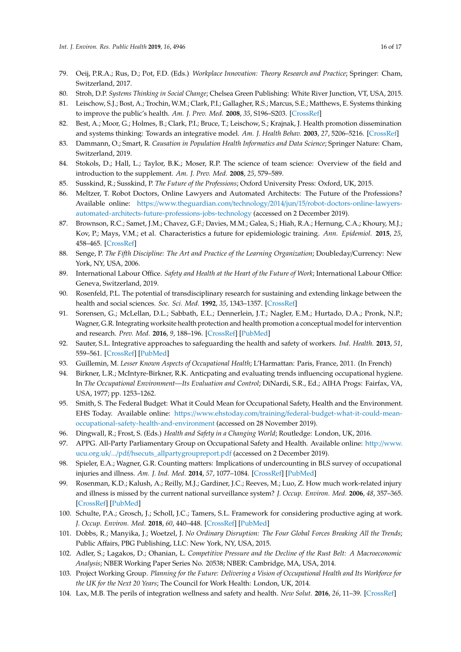- <span id="page-15-0"></span>79. Oeij, P.R.A.; Rus, D.; Pot, F.D. (Eds.) *Workplace Innovation: Theory Research and Practice*; Springer: Cham, Switzerland, 2017.
- <span id="page-15-1"></span>80. Stroh, D.P. *Systems Thinking in Social Change*; Chelsea Green Publishing: White River Junction, VT, USA, 2015.
- <span id="page-15-3"></span>81. Leischow, S.J.; Bost, A.; Trochin, W.M.; Clark, P.I.; Gallagher, R.S.; Marcus, S.E.; Matthews, E. Systems thinking to improve the public's health. *Am. J. Prev. Med.* **2008**, *35*, S196–S203. [\[CrossRef\]](http://dx.doi.org/10.1016/j.amepre.2008.05.014)
- <span id="page-15-4"></span>82. Best, A.; Moor, G.; Holmes, B.; Clark, P.I.; Bruce, T.; Leischow, S.; Krajnak, J. Health promotion dissemination and systems thinking: Towards an integrative model. *Am. J. Health Behav.* **2003**, *27*, 5206–5216. [\[CrossRef\]](http://dx.doi.org/10.5993/AJHB.27.1.s3.4)
- <span id="page-15-2"></span>83. Dammann, O.; Smart, R. *Causation in Population Health Informatics and Data Science*; Springer Nature: Cham, Switzerland, 2019.
- <span id="page-15-5"></span>84. Stokols, D.; Hall, L.; Taylor, B.K.; Moser, R.P. The science of team science: Overview of the field and introduction to the supplement. *Am. J. Prev. Med.* **2008**, *25*, 579–589.
- <span id="page-15-6"></span>85. Susskind, R.; Susskind, P. *The Future of the Professions*; Oxford University Press: Oxford, UK, 2015.
- <span id="page-15-7"></span>86. Meltzer, T. Robot Doctors, Online Lawyers and Automated Architects: The Future of the Professions? Available online: https://www.theguardian.com/technology/2014/jun/15/[robot-doctors-online-lawyers](https://www.theguardian.com/technology/2014/jun/15/robot-doctors-online-lawyers-automated-architects-future-professions-jobs-technology)[automated-architects-future-professions-jobs-technology](https://www.theguardian.com/technology/2014/jun/15/robot-doctors-online-lawyers-automated-architects-future-professions-jobs-technology) (accessed on 2 December 2019).
- <span id="page-15-8"></span>87. Brownson, R.C.; Samet, J.M.; Chavez, G.F.; Davies, M.M.; Galea, S.; Hiah, R.A.; Hernung, C.A.; Khoury, M.J.; Kov, P.; Mays, V.M.; et al. Characteristics a future for epidemiologic training. *Ann. Epidemiol.* **2015**, *25*, 458–465. [\[CrossRef\]](http://dx.doi.org/10.1016/j.annepidem.2015.03.002)
- <span id="page-15-9"></span>88. Senge, P. *The Fifth Discipline: The Art and Practice of the Learning Organization*; Doubleday/Currency: New York, NY, USA, 2006.
- <span id="page-15-10"></span>89. International Labour Office. *Safety and Health at the Heart of the Future of Work*; International Labour Office: Geneva, Switzerland, 2019.
- <span id="page-15-11"></span>90. Rosenfeld, P.L. The potential of transdisciplinary research for sustaining and extending linkage between the health and social sciences. *Soc. Sci. Med.* **1992**, *35*, 1343–1357. [\[CrossRef\]](http://dx.doi.org/10.1016/0277-9536(92)90038-R)
- <span id="page-15-12"></span>91. Sorensen, G.; McLellan, D.L.; Sabbath, E.L.; Dennerlein, J.T.; Nagler, E.M.; Hurtado, D.A.; Pronk, N.P.; Wagner, G.R. Integrating worksite health protection and health promotion a conceptual model for intervention and research. *Prev. Med.* **2016**, *9*, 188–196. [\[CrossRef\]](http://dx.doi.org/10.1016/j.ypmed.2016.08.005) [\[PubMed\]](http://www.ncbi.nlm.nih.gov/pubmed/27527576)
- <span id="page-15-13"></span>92. Sauter, S.L. Integrative approaches to safeguarding the health and safety of workers. *Ind. Health.* **2013**, *51*, 559–561. [\[CrossRef\]](http://dx.doi.org/10.2486/indhealth.MS5106ED) [\[PubMed\]](http://www.ncbi.nlm.nih.gov/pubmed/24292810)
- 93. Guillemin, M. *Lesser Known Aspects of Occupational Health*; L'Harmattan: Paris, France, 2011. (In French)
- <span id="page-15-14"></span>94. Birkner, L.R.; McIntyre-Birkner, R.K. Anticpating and evaluating trends influencing occupational hygiene. In *The Occupational Environment—Its Evaluation and Control*; DiNardi, S.R., Ed.; AIHA Progs: Fairfax, VA, USA, 1977; pp. 1253–1262.
- <span id="page-15-15"></span>95. Smith, S. The Federal Budget: What it Could Mean for Occupational Safety, Health and the Environment. EHS Today. Available online: https://www.ehstoday.com/training/[federal-budget-what-it-could-mean](https://www.ehstoday.com/training/federal-budget-what-it-could-mean-occupational-safety-health-and-environment)[occupational-safety-health-and-environment](https://www.ehstoday.com/training/federal-budget-what-it-could-mean-occupational-safety-health-and-environment) (accessed on 28 November 2019).
- 96. Dingwall, R.; Frost, S. (Eds.) *Health and Safety in a Changing World*; Routledge: London, UK, 2016.
- <span id="page-15-16"></span>97. APPG. All-Party Parliamentary Group on Occupational Safety and Health. Available online: http://[www.](http://www.ucu.org.uk/.../pdf/hsecuts_allpartygroupreport.pdf) ucu.org.uk/.../pdf/[hsecuts\\_allpartygroupreport.pdf](http://www.ucu.org.uk/.../pdf/hsecuts_allpartygroupreport.pdf) (accessed on 2 December 2019).
- <span id="page-15-17"></span>98. Spieler, E.A.; Wagner, G.R. Counting matters: Implications of undercounting in BLS survey of occupational injuries and illness. *Am. J. Ind. Med.* **2014**, *57*, 1077–1084. [\[CrossRef\]](http://dx.doi.org/10.1002/ajim.22382) [\[PubMed\]](http://www.ncbi.nlm.nih.gov/pubmed/25223513)
- <span id="page-15-18"></span>99. Rosenman, K.D.; Kalush, A.; Reilly, M.J.; Gardiner, J.C.; Reeves, M.; Luo, Z. How much work-related injury and illness is missed by the current national surveillance system? *J. Occup. Environ. Med.* **2006**, *48*, 357–365. [\[CrossRef\]](http://dx.doi.org/10.1097/01.jom.0000205864.81970.63) [\[PubMed\]](http://www.ncbi.nlm.nih.gov/pubmed/16607189)
- <span id="page-15-19"></span>100. Schulte, P.A.; Grosch, J.; Scholl, J.C.; Tamers, S.L. Framework for considering productive aging at work. *J. Occup. Environ. Med.* **2018**, *60*, 440–448. [\[CrossRef\]](http://dx.doi.org/10.1097/JOM.0000000000001295) [\[PubMed\]](http://www.ncbi.nlm.nih.gov/pubmed/29420331)
- <span id="page-15-20"></span>101. Dobbs, R.; Manyika, J.; Woetzel, J. *No Ordinary Disruption: The Four Global Forces Breaking All the Trends*; Public Affairs, PBG Publishing, LLC: New York, NY, USA, 2015.
- <span id="page-15-21"></span>102. Adler, S.; Lagakos, D.; Ohanian, L. *Competitive Pressure and the Decline of the Rust Belt: A Macroeconomic Analysis*; NBER Working Paper Series No. 20538; NBER: Cambridge, MA, USA, 2014.
- <span id="page-15-22"></span>103. Project Working Group. *Planning for the Future: Delivering a Vision of Occupational Health and Its Workforce for the UK for the Next 20 Years*; The Council for Work Health: London, UK, 2014.
- <span id="page-15-23"></span>104. Lax, M.B. The perils of integration wellness and safety and health. *New Solut.* **2016**, *26*, 11–39. [\[CrossRef\]](http://dx.doi.org/10.1177/1048291116629489)